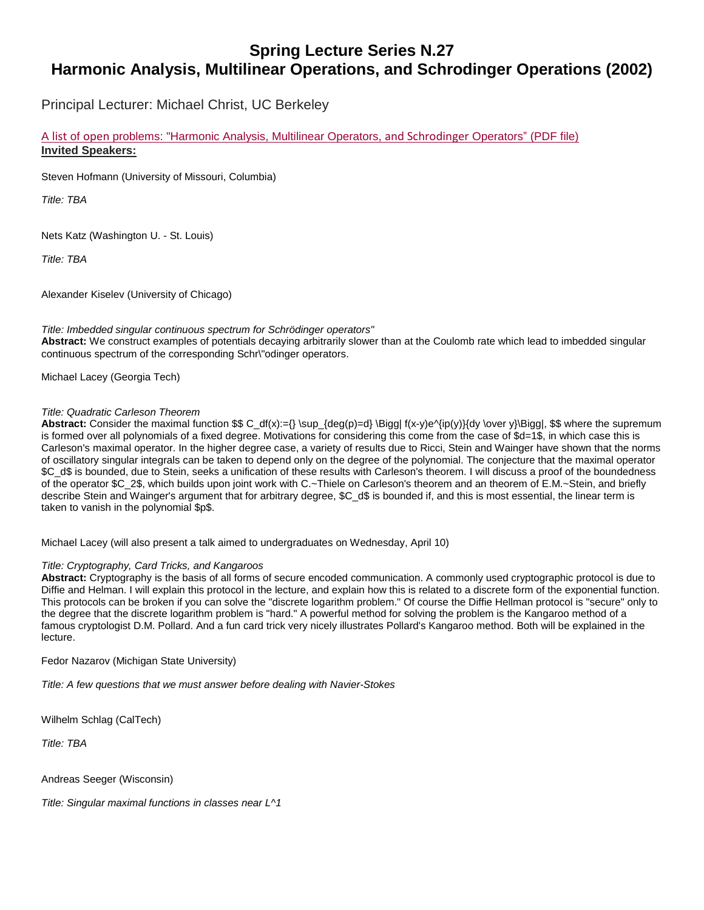# **Spring Lecture Series N.27 Harmonic Analysis, Multilinear Operations, and Schrodinger Operations (2002)**

Principal Lecturer: Michael Christ, UC Berkeley

A list of open problems: "Harmonic Analysis, Multilinear Operators, and [Schrodinger](http://fulbright.uark.edu/departments/math/_resources/sls-public-lecture-2002-open.pdf) Operators" (PDF file) **Invited Speakers:**

Steven Hofmann (University of Missouri, Columbia)

*Title: TBA*

Nets Katz (Washington U. - St. Louis)

*Title: TBA*

Alexander Kiselev (University of Chicago)

#### *Title: Imbedded singular continuous spectrum for Schrödinger operators"*

**Abstract:** We construct examples of potentials decaying arbitrarily slower than at the Coulomb rate which lead to imbedded singular continuous spectrum of the corresponding Schr\"odinger operators.

Michael Lacey (Georgia Tech)

#### *Title: Quadratic Carleson Theorem*

Abstract: Consider the maximal function \$\$ C\_df(x):={} \sup\_{deg(p)=d} \Bigg| f(x-y)e^{ip(y)}{dy \over y}\Bigg|, \$\$ where the supremum is formed over all polynomials of a fixed degree. Motivations for considering this come from the case of \$d=1\$, in which case this is Carleson's maximal operator. In the higher degree case, a variety of results due to Ricci, Stein and Wainger have shown that the norms of oscillatory singular integrals can be taken to depend only on the degree of the polynomial. The conjecture that the maximal operator \$C\_d\$ is bounded, due to Stein, seeks a unification of these results with Carleson's theorem. I will discuss a proof of the boundedness of the operator \$C\_2\$, which builds upon joint work with C.~Thiele on Carleson's theorem and an theorem of E.M.~Stein, and briefly describe Stein and Wainger's argument that for arbitrary degree, \$C\_d\$ is bounded if, and this is most essential, the linear term is taken to vanish in the polynomial \$p\$.

Michael Lacey (will also present a talk aimed to undergraduates on Wednesday, April 10)

#### *Title: Cryptography, Card Tricks, and Kangaroos*

**Abstract:** Cryptography is the basis of all forms of secure encoded communication. A commonly used cryptographic protocol is due to Diffie and Helman. I will explain this protocol in the lecture, and explain how this is related to a discrete form of the exponential function. This protocols can be broken if you can solve the "discrete logarithm problem." Of course the Diffie Hellman protocol is "secure" only to the degree that the discrete logarithm problem is "hard." A powerful method for solving the problem is the Kangaroo method of a famous cryptologist D.M. Pollard. And a fun card trick very nicely illustrates Pollard's Kangaroo method. Both will be explained in the lecture.

Fedor Nazarov (Michigan State University)

*Title: A few questions that we must answer before dealing with Navier-Stokes*

Wilhelm Schlag (CalTech)

*Title: TBA*

Andreas Seeger (Wisconsin)

*Title: Singular maximal functions in classes near L^1*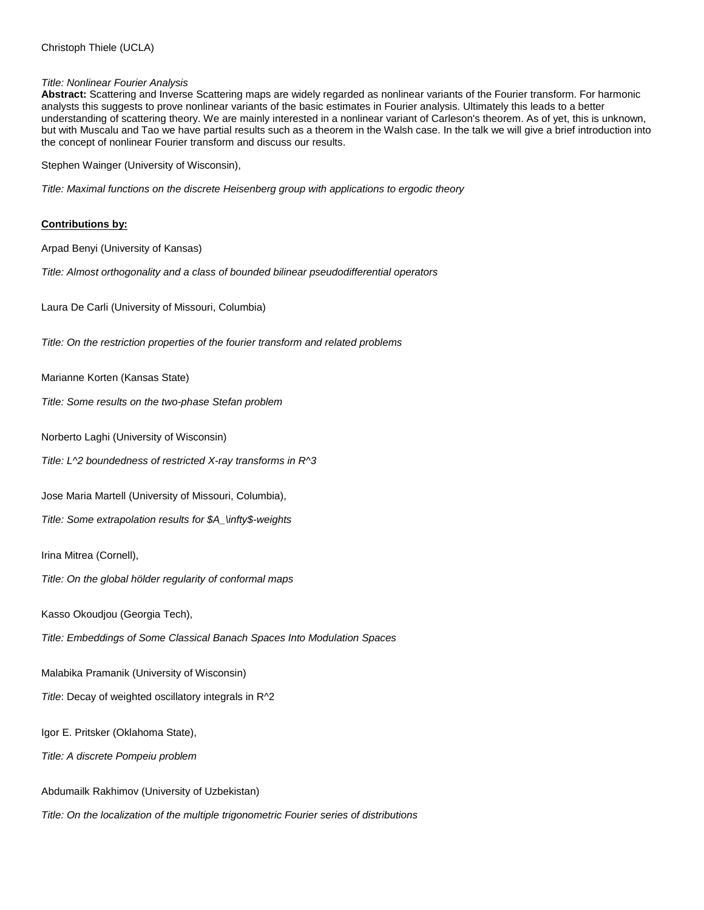### *Title: Nonlinear Fourier Analysis*

**Abstract:** Scattering and Inverse Scattering maps are widely regarded as nonlinear variants of the Fourier transform. For harmonic analysts this suggests to prove nonlinear variants of the basic estimates in Fourier analysis. Ultimately this leads to a better understanding of scattering theory. We are mainly interested in a nonlinear variant of Carleson's theorem. As of yet, this is unknown, but with Muscalu and Tao we have partial results such as a theorem in the Walsh case. In the talk we will give a brief introduction into the concept of nonlinear Fourier transform and discuss our results.

Stephen Wainger (University of Wisconsin),

*Title: Maximal functions on the discrete Heisenberg group with applications to ergodic theory*

## **Contributions by:**

Arpad Benyi (University of Kansas)

*Title: Almost orthogonality and a class of bounded bilinear pseudodifferential operators*

Laura De Carli (University of Missouri, Columbia)

*Title: On the restriction properties of the fourier transform and related problems*

Marianne Korten (Kansas State)

*Title: Some results on the two-phase Stefan problem*

Norberto Laghi (University of Wisconsin)

*Title: L^2 boundedness of restricted X-ray transforms in R^3*

Jose Maria Martell (University of Missouri, Columbia),

*Title: Some extrapolation results for \$A\_\infty\$-weights*

Irina Mitrea (Cornell),

*Title: On the global hölder regularity of conformal maps*

Kasso Okoudjou (Georgia Tech),

*Title: Embeddings of Some Classical Banach Spaces Into Modulation Spaces*

Malabika Pramanik (University of Wisconsin)

*Title*: Decay of weighted oscillatory integrals in R^2

Igor E. Pritsker (Oklahoma State),

*Title: A discrete Pompeiu problem*

Abdumailk Rakhimov (University of Uzbekistan)

*Title: On the localization of the multiple trigonometric Fourier series of distributions*